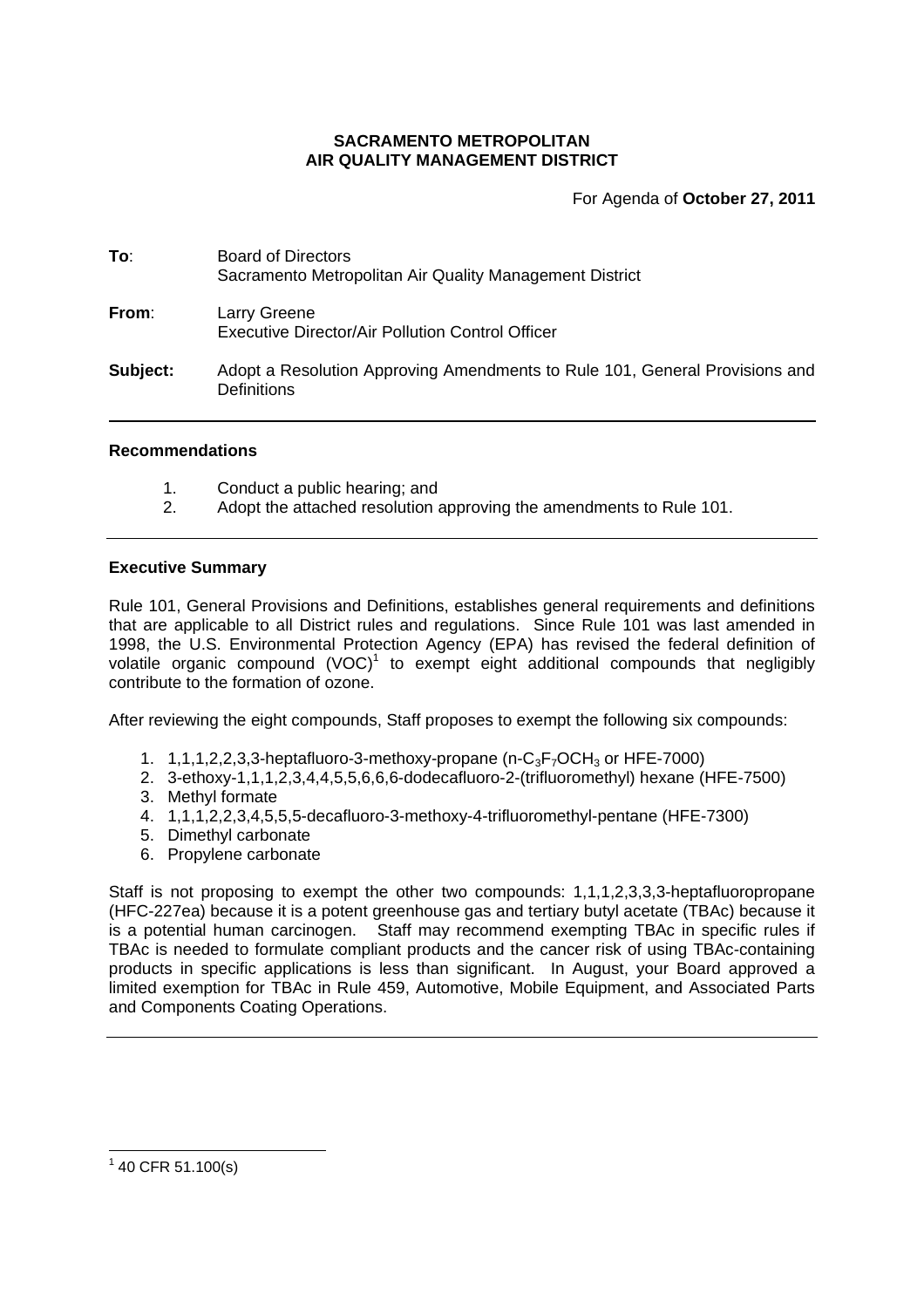# **SACRAMENTO METROPOLITAN AIR QUALITY MANAGEMENT DISTRICT**

For Agenda of **October 27, 2011**

| To:      | <b>Board of Directors</b><br>Sacramento Metropolitan Air Quality Management District       |
|----------|--------------------------------------------------------------------------------------------|
| From:    | Larry Greene<br>Executive Director/Air Pollution Control Officer                           |
| Subject: | Adopt a Resolution Approving Amendments to Rule 101, General Provisions and<br>Definitions |

### **Recommendations**

- 1. Conduct a public hearing; and
- 2. Adopt the attached resolution approving the amendments to Rule 101.

### **Executive Summary**

Rule 101, General Provisions and Definitions, establishes general requirements and definitions that are applicable to all District rules and regulations. Since Rule 101 was last amended in 1998, the U.S. Environmental Protection Agency (EPA) has revised the federal definition of volatile organic compound  $(VOC)^1$  to exempt eight additional compounds that negligibly contribute to the formation of ozone.

After reviewing the eight compounds, Staff proposes to exempt the following six compounds:

- 1.  $1.1.1.2.2.3.3$ -heptafluoro-3-methoxy-propane (n-C<sub>3</sub>F<sub>7</sub>OCH<sub>3</sub> or HFE-7000)
- 2. 3-ethoxy-1,1,1,2,3,4,4,5,5,6,6,6-dodecafluoro-2-(trifluoromethyl) hexane (HFE-7500)
- 3. Methyl formate
- 4. 1,1,1,2,2,3,4,5,5,5-decafluoro-3-methoxy-4-trifluoromethyl-pentane (HFE-7300)
- 5. Dimethyl carbonate
- 6. Propylene carbonate

Staff is not proposing to exempt the other two compounds: 1,1,1,2,3,3,3-heptafluoropropane (HFC-227ea) because it is a potent greenhouse gas and tertiary butyl acetate (TBAc) because it is a potential human carcinogen. Staff may recommend exempting TBAc in specific rules if TBAc is needed to formulate compliant products and the cancer risk of using TBAc-containing products in specific applications is less than significant. In August, your Board approved a limited exemption for TBAc in Rule 459, Automotive, Mobile Equipment, and Associated Parts and Components Coating Operations.

 $140$  CFR 51.100(s)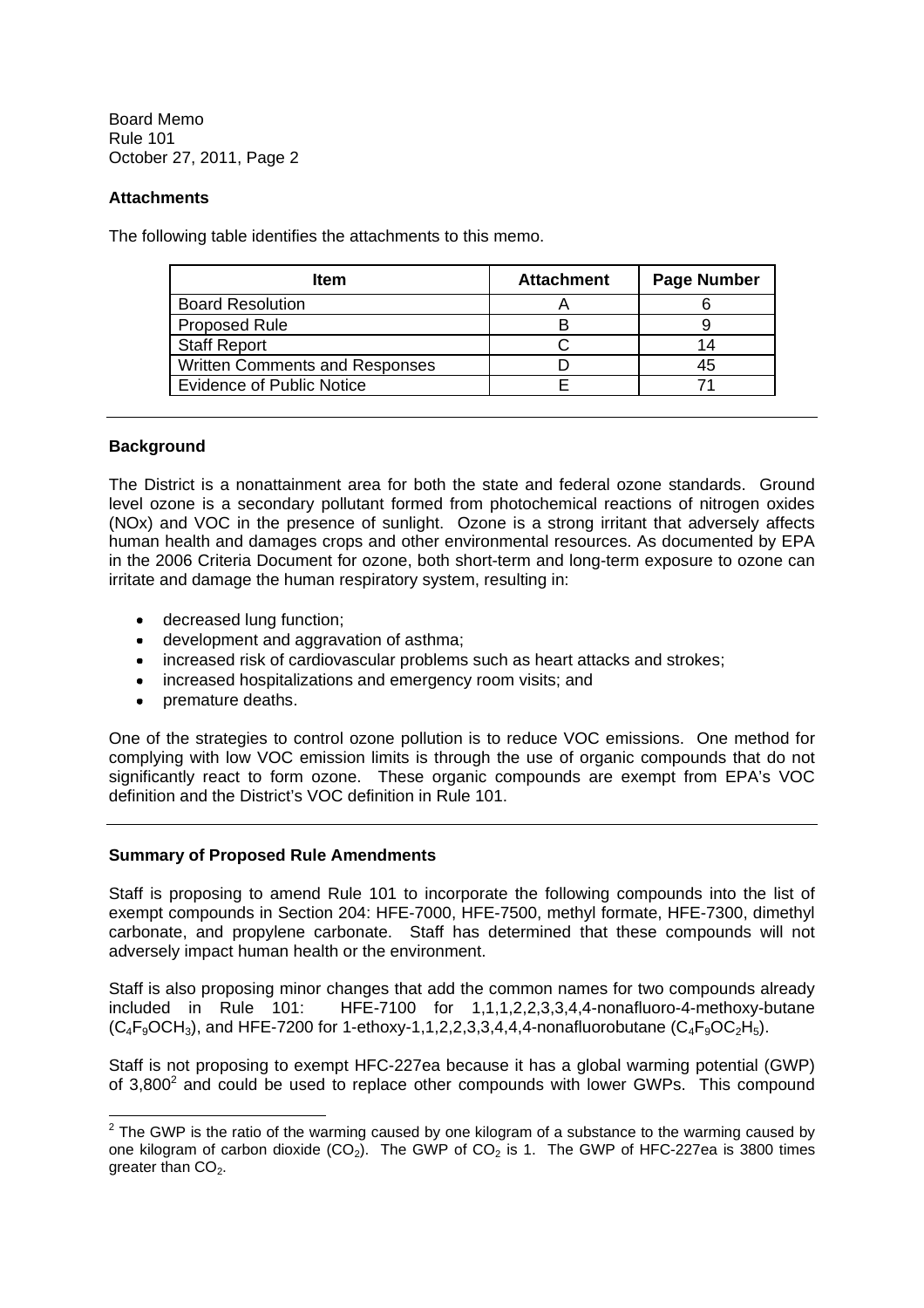## **Attachments**

The following table identifies the attachments to this memo.

| <b>Item</b>                      | <b>Attachment</b> | <b>Page Number</b> |
|----------------------------------|-------------------|--------------------|
| <b>Board Resolution</b>          |                   |                    |
| <b>Proposed Rule</b>             |                   |                    |
| <b>Staff Report</b>              |                   |                    |
| Written Comments and Responses   |                   | 45                 |
| <b>Evidence of Public Notice</b> |                   |                    |

## **Background**

The District is a nonattainment area for both the state and federal ozone standards. Ground level ozone is a secondary pollutant formed from photochemical reactions of nitrogen oxides (NOx) and VOC in the presence of sunlight. Ozone is a strong irritant that adversely affects human health and damages crops and other environmental resources. As documented by EPA in the 2006 Criteria Document for ozone, both short-term and long-term exposure to ozone can irritate and damage the human respiratory system, resulting in:

- decreased lung function;
- development and aggravation of asthma;
- increased risk of cardiovascular problems such as heart attacks and strokes;
- increased hospitalizations and emergency room visits; and
- premature deaths.

One of the strategies to control ozone pollution is to reduce VOC emissions. One method for complying with low VOC emission limits is through the use of organic compounds that do not significantly react to form ozone. These organic compounds are exempt from EPA's VOC definition and the District's VOC definition in Rule 101.

### **Summary of Proposed Rule Amendments**

Staff is proposing to amend Rule 101 to incorporate the following compounds into the list of exempt compounds in Section 204: HFE-7000, HFE-7500, methyl formate, HFE-7300, dimethyl carbonate, and propylene carbonate. Staff has determined that these compounds will not adversely impact human health or the environment.

Staff is also proposing minor changes that add the common names for two compounds already included in Rule 101: HFE-7100 for 1,1,1,2,2,3,3,4,4-nonafluoro-4-methoxy-butane  $(C_4F_9OCH_3)$ , and HFE-7200 for 1-ethoxy-1,1,2,2,3,3,4,4,4-nonafluorobutane  $(C_4F_9OC_2H_5)$ .

Staff is not proposing to exempt HFC-227ea because it has a global warming potential (GWP) of  $3,800^2$  and could be used to replace other compounds with lower GWPs. This compound

 $2$  The GWP is the ratio of the warming caused by one kilogram of a substance to the warming caused by one kilogram of carbon dioxide (CO<sub>2</sub>). The GWP of CO<sub>2</sub> is 1. The GWP of HFC-227ea is 3800 times greater than  $CO<sub>2</sub>$ .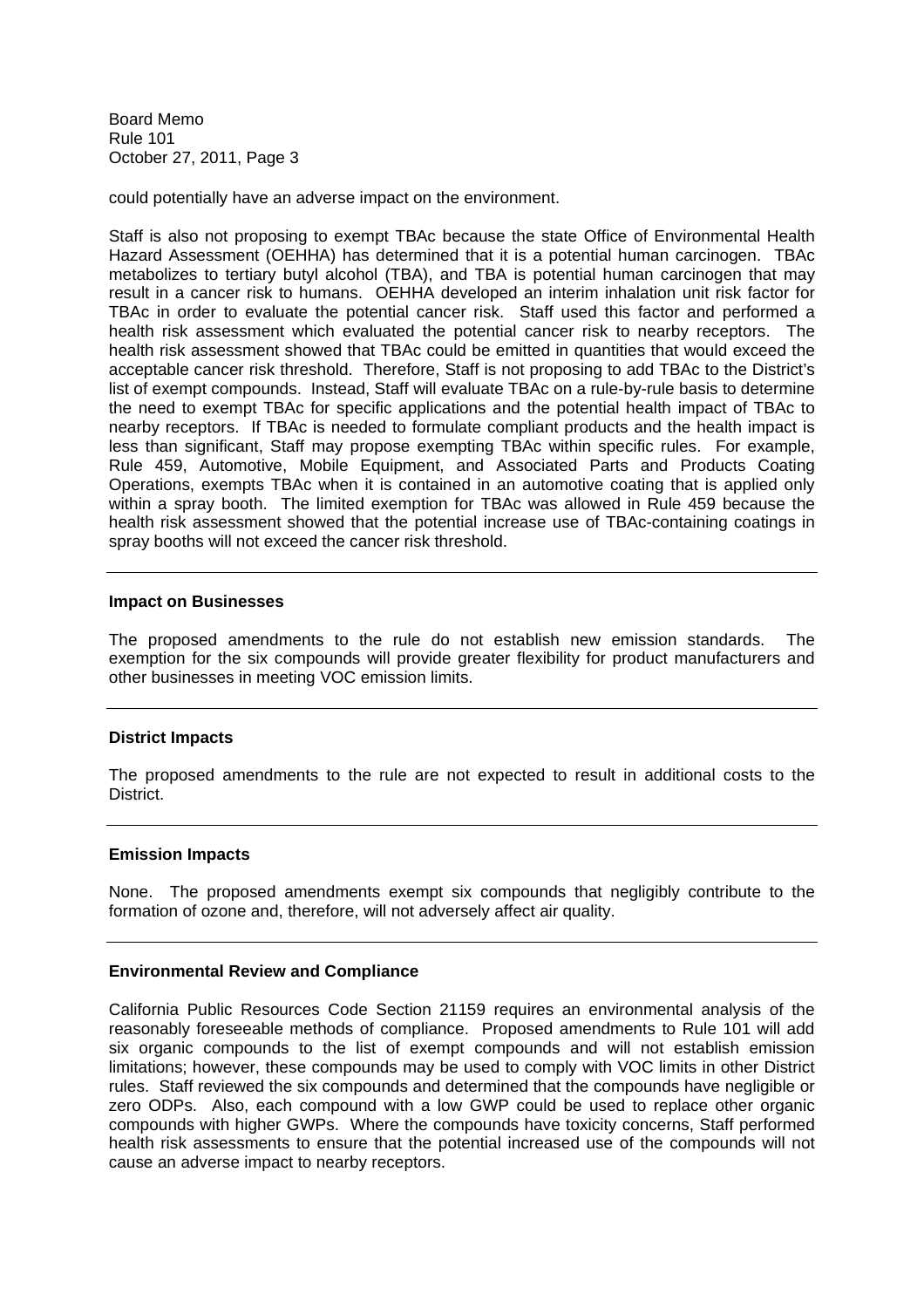could potentially have an adverse impact on the environment.

Staff is also not proposing to exempt TBAc because the state Office of Environmental Health Hazard Assessment (OEHHA) has determined that it is a potential human carcinogen. TBAc metabolizes to tertiary butyl alcohol (TBA), and TBA is potential human carcinogen that may result in a cancer risk to humans. OEHHA developed an interim inhalation unit risk factor for TBAc in order to evaluate the potential cancer risk. Staff used this factor and performed a health risk assessment which evaluated the potential cancer risk to nearby receptors. The health risk assessment showed that TBAc could be emitted in quantities that would exceed the acceptable cancer risk threshold. Therefore, Staff is not proposing to add TBAc to the District's list of exempt compounds. Instead, Staff will evaluate TBAc on a rule-by-rule basis to determine the need to exempt TBAc for specific applications and the potential health impact of TBAc to nearby receptors. If TBAc is needed to formulate compliant products and the health impact is less than significant, Staff may propose exempting TBAc within specific rules. For example, Rule 459, Automotive, Mobile Equipment, and Associated Parts and Products Coating Operations, exempts TBAc when it is contained in an automotive coating that is applied only within a spray booth. The limited exemption for TBAc was allowed in Rule 459 because the health risk assessment showed that the potential increase use of TBAc-containing coatings in spray booths will not exceed the cancer risk threshold.

#### **Impact on Businesses**

The proposed amendments to the rule do not establish new emission standards. The exemption for the six compounds will provide greater flexibility for product manufacturers and other businesses in meeting VOC emission limits.

### **District Impacts**

The proposed amendments to the rule are not expected to result in additional costs to the **District** 

#### **Emission Impacts**

None. The proposed amendments exempt six compounds that negligibly contribute to the formation of ozone and, therefore, will not adversely affect air quality.

### **Environmental Review and Compliance**

California Public Resources Code Section 21159 requires an environmental analysis of the reasonably foreseeable methods of compliance. Proposed amendments to Rule 101 will add six organic compounds to the list of exempt compounds and will not establish emission limitations; however, these compounds may be used to comply with VOC limits in other District rules. Staff reviewed the six compounds and determined that the compounds have negligible or zero ODPs. Also, each compound with a low GWP could be used to replace other organic compounds with higher GWPs. Where the compounds have toxicity concerns, Staff performed health risk assessments to ensure that the potential increased use of the compounds will not cause an adverse impact to nearby receptors.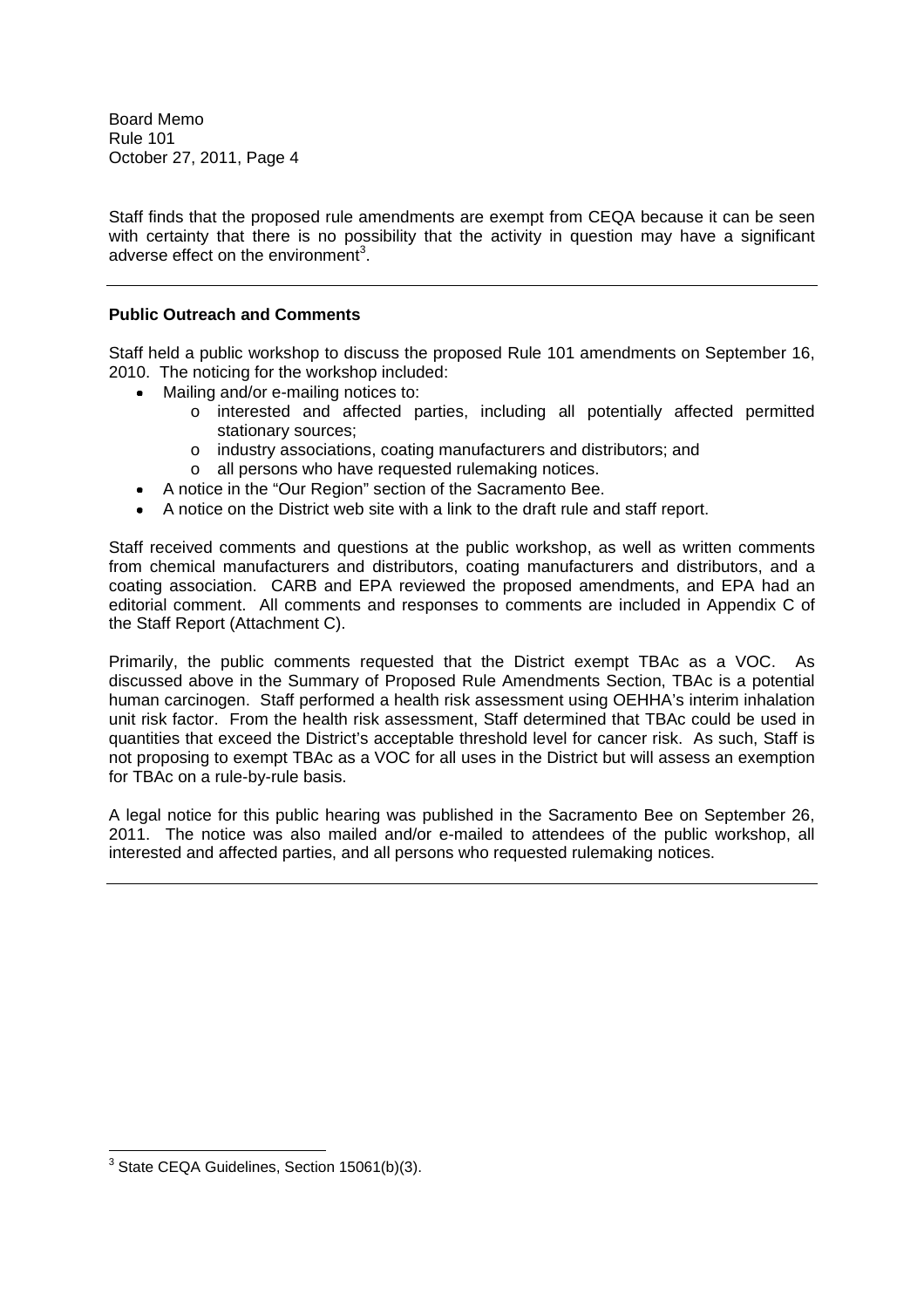Staff finds that the proposed rule amendments are exempt from CEQA because it can be seen with certainty that there is no possibility that the activity in question may have a significant adverse effect on the environment<sup>3</sup>.

# **Public Outreach and Comments**

Staff held a public workshop to discuss the proposed Rule 101 amendments on September 16, 2010. The noticing for the workshop included:

- Mailing and/or e-mailing notices to:
	- o interested and affected parties, including all potentially affected permitted stationary sources;
	- o industry associations, coating manufacturers and distributors; and
	- o all persons who have requested rulemaking notices.
- A notice in the "Our Region" section of the Sacramento Bee.
- A notice on the District web site with a link to the draft rule and staff report.

Staff received comments and questions at the public workshop, as well as written comments from chemical manufacturers and distributors, coating manufacturers and distributors, and a coating association. CARB and EPA reviewed the proposed amendments, and EPA had an editorial comment. All comments and responses to comments are included in Appendix C of the Staff Report (Attachment C).

Primarily, the public comments requested that the District exempt TBAc as a VOC. As discussed above in the Summary of Proposed Rule Amendments Section, TBAc is a potential human carcinogen. Staff performed a health risk assessment using OEHHA's interim inhalation unit risk factor. From the health risk assessment, Staff determined that TBAc could be used in quantities that exceed the District's acceptable threshold level for cancer risk. As such, Staff is not proposing to exempt TBAc as a VOC for all uses in the District but will assess an exemption for TBAc on a rule-by-rule basis.

A legal notice for this public hearing was published in the Sacramento Bee on September 26, 2011. The notice was also mailed and/or e-mailed to attendees of the public workshop, all interested and affected parties, and all persons who requested rulemaking notices.

<sup>3</sup> State CEQA Guidelines, Section 15061(b)(3).